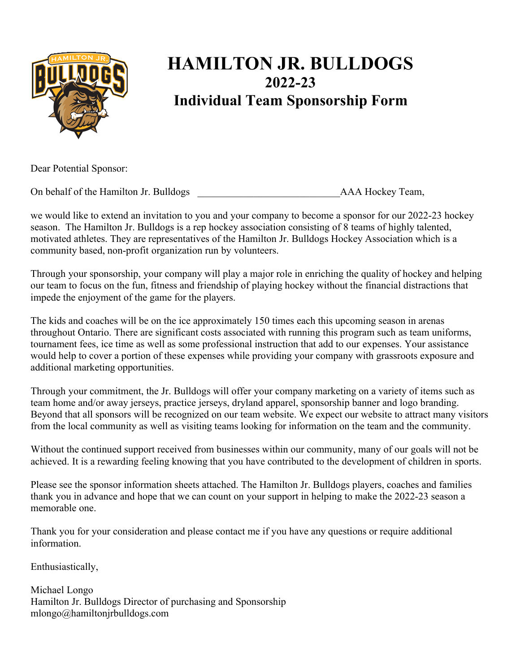

# **HAMILTON JR. BULLDOGS 2022-23 Individual Team Sponsorship Form**

Dear Potential Sponsor:

On behalf of the Hamilton Jr. Bulldogs **AAA Hockey Team**,

we would like to extend an invitation to you and your company to become a sponsor for our 2022-23 hockey season. The Hamilton Jr. Bulldogs is a rep hockey association consisting of 8 teams of highly talented, motivated athletes. They are representatives of the Hamilton Jr. Bulldogs Hockey Association which is a community based, non-profit organization run by volunteers.

Through your sponsorship, your company will play a major role in enriching the quality of hockey and helping our team to focus on the fun, fitness and friendship of playing hockey without the financial distractions that impede the enjoyment of the game for the players.

The kids and coaches will be on the ice approximately 150 times each this upcoming season in arenas throughout Ontario. There are significant costs associated with running this program such as team uniforms, tournament fees, ice time as well as some professional instruction that add to our expenses. Your assistance would help to cover a portion of these expenses while providing your company with grassroots exposure and additional marketing opportunities.

Through your commitment, the Jr. Bulldogs will offer your company marketing on a variety of items such as team home and/or away jerseys, practice jerseys, dryland apparel, sponsorship banner and logo branding. Beyond that all sponsors will be recognized on our team website. We expect our website to attract many visitors from the local community as well as visiting teams looking for information on the team and the community.

Without the continued support received from businesses within our community, many of our goals will not be achieved. It is a rewarding feeling knowing that you have contributed to the development of children in sports.

Please see the sponsor information sheets attached. The Hamilton Jr. Bulldogs players, coaches and families thank you in advance and hope that we can count on your support in helping to make the 2022-23 season a memorable one.

Thank you for your consideration and please contact me if you have any questions or require additional information.

Enthusiastically,

Michael Longo Hamilton Jr. Bulldogs Director of purchasing and Sponsorship mlongo@hamiltonjrbulldogs.com